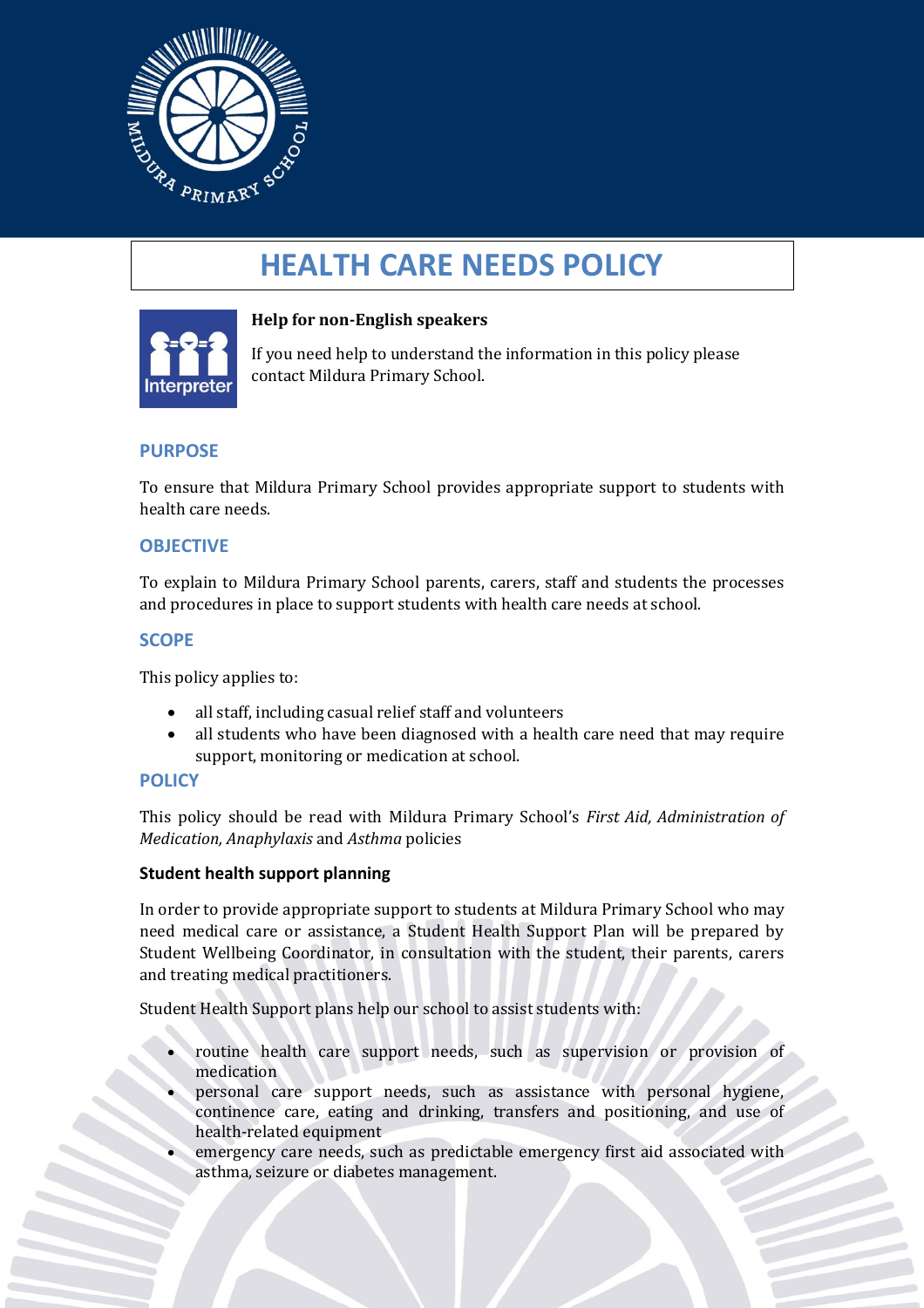

# **HEALTH CARE NEEDS POLICY**



## **Help for non-English speakers**

If you need help to understand the information in this policy please contact Mildura Primary School.

### **PURPOSE**

To ensure that Mildura Primary School provides appropriate support to students with health care needs.

#### **OBJECTIVE**

To explain to Mildura Primary School parents, carers, staff and students the processes and procedures in place to support students with health care needs at school.

#### **SCOPE**

This policy applies to:

- all staff, including casual relief staff and volunteers
- all students who have been diagnosed with a health care need that may require support, monitoring or medication at school.

#### **POLICY**

This policy should be read with Mildura Primary School's *First Aid, Administration of Medication, Anaphylaxis* and *Asthma* policies

#### **Student health support planning**

In order to provide appropriate support to students at Mildura Primary School who may need medical care or assistance, a Student Health Support Plan will be prepared by Student Wellbeing Coordinator, in consultation with the student, their parents, carers and treating medical practitioners.

Student Health Support plans help our school to assist students with:

- routine health care support needs, such as supervision or provision of medication
- personal care support needs, such as assistance with personal hygiene, continence care, eating and drinking, transfers and positioning, and use of health-related equipment
- emergency care needs, such as predictable emergency first aid associated with asthma, seizure or diabetes management.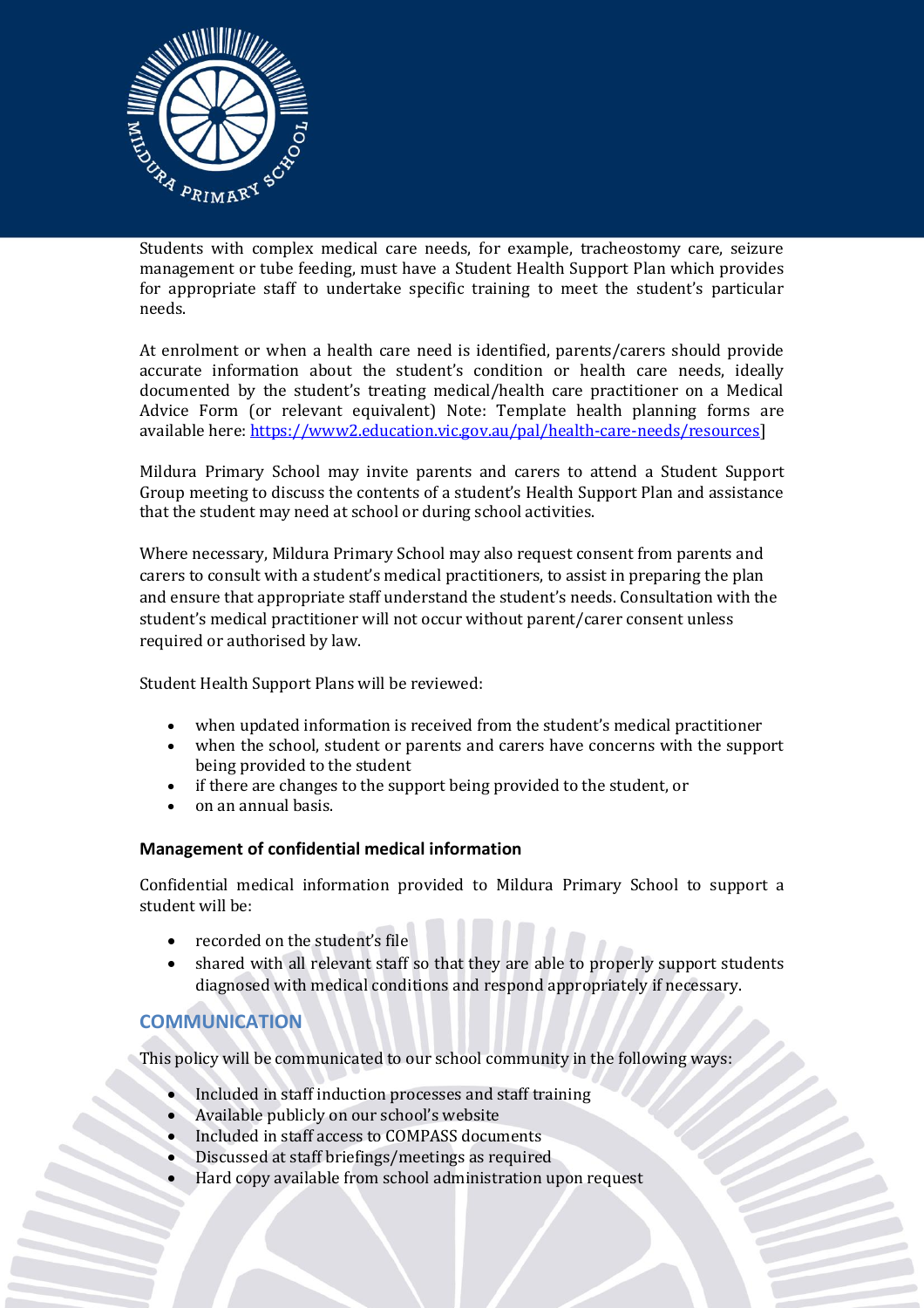

Students with complex medical care needs, for example, tracheostomy care, seizure management or tube feeding, must have a Student Health Support Plan which provides for appropriate staff to undertake specific training to meet the student's particular needs.

At enrolment or when a health care need is identified, parents/carers should provide accurate information about the student's condition or health care needs, ideally documented by the student's treating medical/health care practitioner on a Medical Advice Form (or relevant equivalent) Note: Template health planning forms are available here: [https://www2.education.vic.gov.au/pal/health-care-needs/resources\]](https://www2.education.vic.gov.au/pal/health-care-needs/resources)

Mildura Primary School may invite parents and carers to attend a Student Support Group meeting to discuss the contents of a student's Health Support Plan and assistance that the student may need at school or during school activities.

Where necessary, Mildura Primary School may also request consent from parents and carers to consult with a student's medical practitioners, to assist in preparing the plan and ensure that appropriate staff understand the student's needs. Consultation with the student's medical practitioner will not occur without parent/carer consent unless required or authorised by law.

Student Health Support Plans will be reviewed:

- when updated information is received from the student's medical practitioner
- when the school, student or parents and carers have concerns with the support being provided to the student
- if there are changes to the support being provided to the student, or
- on an annual basis.

#### **Management of confidential medical information**

Confidential medical information provided to Mildura Primary School to support a student will be:

- recorded on the student's file
- shared with all relevant staff so that they are able to properly support students diagnosed with medical conditions and respond appropriately if necessary.

# **COMMUNICATION**

This policy will be communicated to our school community in the following ways:

- Included in staff induction processes and staff training
- Available publicly on our school's website
- Included in staff access to COMPASS documents
- Discussed at staff briefings/meetings as required
- Hard copy available from school administration upon request